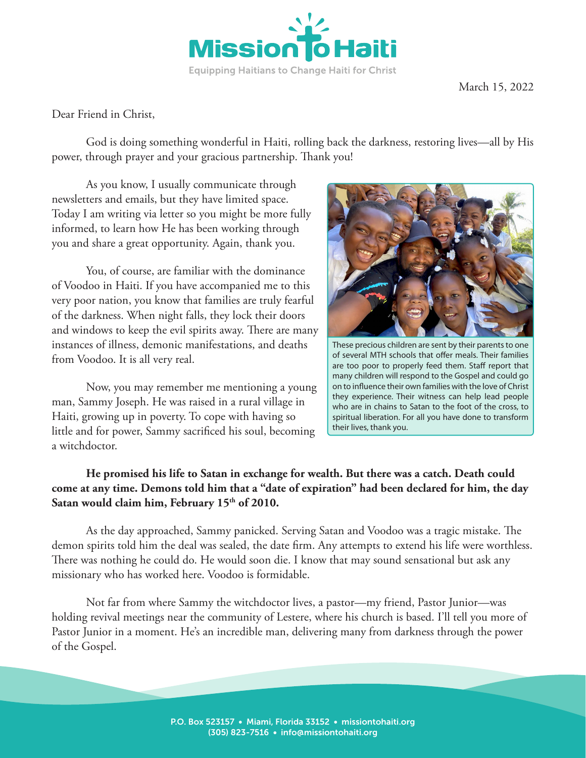

Dear Friend in Christ,

God is doing something wonderful in Haiti, rolling back the darkness, restoring lives—all by His power, through prayer and your gracious partnership. Thank you!

As you know, I usually communicate through newsletters and emails, but they have limited space. Today I am writing via letter so you might be more fully informed, to learn how He has been working through you and share a great opportunity. Again, thank you.

You, of course, are familiar with the dominance of Voodoo in Haiti. If you have accompanied me to this very poor nation, you know that families are truly fearful of the darkness. When night falls, they lock their doors and windows to keep the evil spirits away. There are many instances of illness, demonic manifestations, and deaths from Voodoo. It is all very real.

Now, you may remember me mentioning a young man, Sammy Joseph. He was raised in a rural village in Haiti, growing up in poverty. To cope with having so little and for power, Sammy sacrificed his soul, becoming a witchdoctor.



These precious children are sent by their parents to one of several MTH schools that offer meals. Their families are too poor to properly feed them. Staff report that many children will respond to the Gospel and could go on to influence their own families with the love of Christ they experience. Their witness can help lead people who are in chains to Satan to the foot of the cross, to spiritual liberation. For all you have done to transform their lives, thank you.

## **He promised his life to Satan in exchange for wealth. But there was a catch. Death could come at any time. Demons told him that a "date of expiration" had been declared for him, the day**  Satan would claim him, February 15<sup>th</sup> of 2010.

As the day approached, Sammy panicked. Serving Satan and Voodoo was a tragic mistake. The demon spirits told him the deal was sealed, the date firm. Any attempts to extend his life were worthless. There was nothing he could do. He would soon die. I know that may sound sensational but ask any missionary who has worked here. Voodoo is formidable.

Not far from where Sammy the witchdoctor lives, a pastor—my friend, Pastor Junior—was holding revival meetings near the community of Lestere, where his church is based. I'll tell you more of Pastor Junior in a moment. He's an incredible man, delivering many from darkness through the power of the Gospel.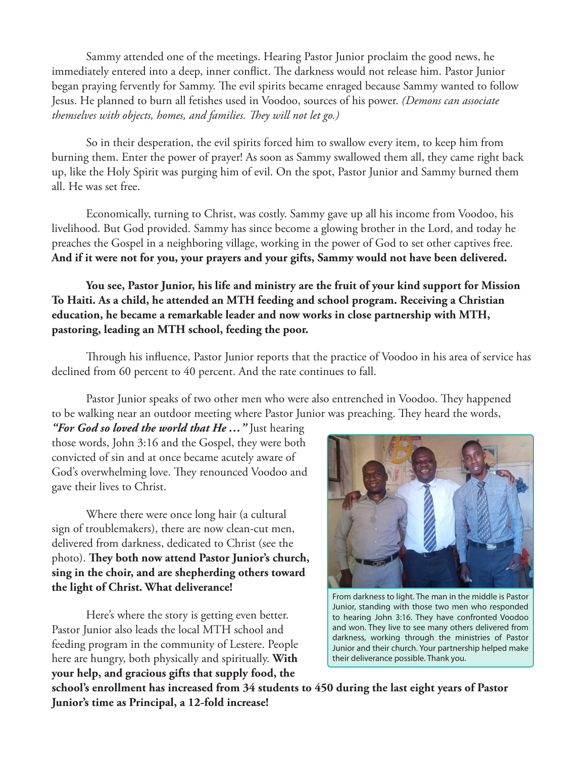Sammy attended one of the meetings. Hearing Pastor Junior proclaim the good news, he immediately entered into a deep, inner conflict. The darkness would not release him. Pastor Junior began praying fervently for Sammy. The evil spirits became enraged because Sammy wanted to follow Jesus. He planned to burn all fetishes used in Voodoo, sources of his power. *(Demons can associate themselves with objects, homes, and families. They will not let go.)* 

So in their desperation, the evil spirits forced him to swallow every item, to keep him from burning them. Enter the power of prayer! As soon as Sammy swallowed them all, they came right back up, like the Holy Spirit was purging him of evil. On the spot, Pastor Junior and Sammy burned them all. He was set free.

Economically, turning to Christ, was costly. Sammy gave up all his income from Voodoo, his livelihood. But God provided. Sammy has since become a glowing brother in the Lord, and today he preaches the Gospel in a neighboring village, working in the power of God to set other captives free. **And if it were not for you, your prayers and your gifts, Sammy would not have been delivered.** 

**You see, Pastor Junior, his life and ministry are the fruit of your kind support for Mission To Haiti. As a child, he attended an MTH feeding and school program. Receiving a Christian education, he became a remarkable leader and now works in close partnership with MTH, pastoring, leading an MTH school, feeding the poor.** 

Through his influence, Pastor Junior reports that the practice of Voodoo in his area of service has declined from 60 percent to 40 percent. And the rate continues to fall.

Pastor Junior speaks of two other men who were also entrenched in Voodoo. They happened to be walking near an outdoor meeting where Pastor Junior was preaching. They heard the words,

*"For God so loved the world that He …"* Just hearing those words, John 3:16 and the Gospel, they were both convicted of sin and at once became acutely aware of God's overwhelming love. They renounced Voodoo and gave their lives to Christ.

Where there were once long hair (a cultural sign of troublemakers), there are now clean-cut men, delivered from darkness, dedicated to Christ (see the photo). **They both now attend Pastor Junior's church, sing in the choir, and are shepherding others toward the light of Christ. What deliverance!**

Here's where the story is getting even better. Pastor Junior also leads the local MTH school and feeding program in the community of Lestere. People here are hungry, both physically and spiritually. **With your help, and gracious gifts that supply food, the** 



From darkness to light. The man in the middle is Pastor Junior, standing with those two men who responded to hearing John 3:16. They have confronted Voodoo and won. They live to see many others delivered from darkness, working through the ministries of Pastor Junior and their church. Your partnership helped make their deliverance possible. Thank you.

**school's enrollment has increased from 34 students to 450 during the last eight years of Pastor Junior's time as Principal, a 12-fold increase!**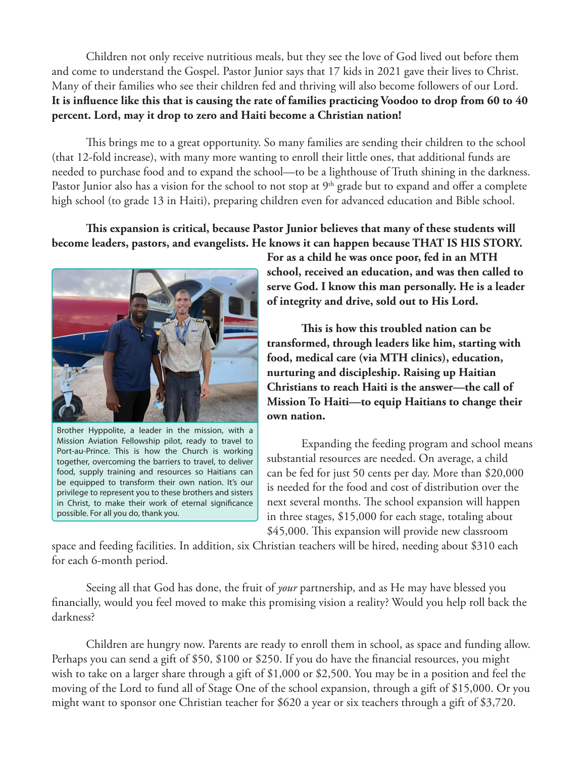Children not only receive nutritious meals, but they see the love of God lived out before them and come to understand the Gospel. Pastor Junior says that 17 kids in 2021 gave their lives to Christ. Many of their families who see their children fed and thriving will also become followers of our Lord. **It is influence like this that is causing the rate of families practicing Voodoo to drop from 60 to 40 percent. Lord, may it drop to zero and Haiti become a Christian nation!**

This brings me to a great opportunity. So many families are sending their children to the school (that 12-fold increase), with many more wanting to enroll their little ones, that additional funds are needed to purchase food and to expand the school—to be a lighthouse of Truth shining in the darkness. Pastor Junior also has a vision for the school to not stop at 9<sup>th</sup> grade but to expand and offer a complete high school (to grade 13 in Haiti), preparing children even for advanced education and Bible school.

## **This expansion is critical, because Pastor Junior believes that many of these students will become leaders, pastors, and evangelists. He knows it can happen because THAT IS HIS STORY.**



Brother Hyppolite, a leader in the mission, with a Mission Aviation Fellowship pilot, ready to travel to Port-au-Prince. This is how the Church is working together, overcoming the barriers to travel, to deliver food, supply training and resources so Haitians can be equipped to transform their own nation. It's our privilege to represent you to these brothers and sisters in Christ, to make their work of eternal significance possible. For all you do, thank you.

**For as a child he was once poor, fed in an MTH school, received an education, and was then called to serve God. I know this man personally. He is a leader of integrity and drive, sold out to His Lord.** 

**This is how this troubled nation can be transformed, through leaders like him, starting with food, medical care (via MTH clinics), education, nurturing and discipleship. Raising up Haitian Christians to reach Haiti is the answer—the call of Mission To Haiti—to equip Haitians to change their own nation.**

Expanding the feeding program and school means substantial resources are needed. On average, a child can be fed for just 50 cents per day. More than \$20,000 is needed for the food and cost of distribution over the next several months. The school expansion will happen in three stages, \$15,000 for each stage, totaling about \$45,000. This expansion will provide new classroom

space and feeding facilities. In addition, six Christian teachers will be hired, needing about \$310 each for each 6-month period.

Seeing all that God has done, the fruit of *your* partnership, and as He may have blessed you financially, would you feel moved to make this promising vision a reality? Would you help roll back the darkness?

Children are hungry now. Parents are ready to enroll them in school, as space and funding allow. Perhaps you can send a gift of \$50, \$100 or \$250. If you do have the financial resources, you might wish to take on a larger share through a gift of \$1,000 or \$2,500. You may be in a position and feel the moving of the Lord to fund all of Stage One of the school expansion, through a gift of \$15,000. Or you might want to sponsor one Christian teacher for \$620 a year or six teachers through a gift of \$3,720.